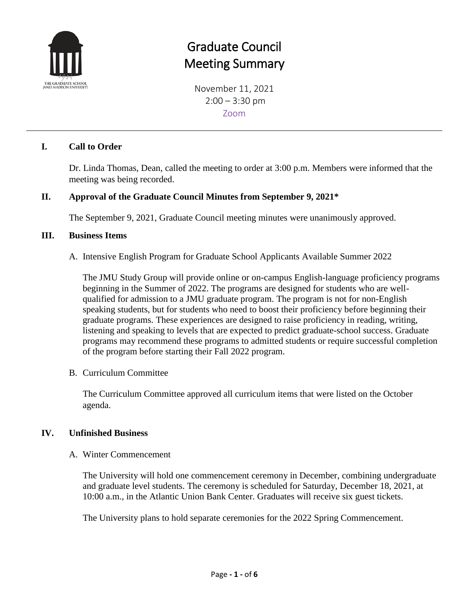

# Graduate Council Meeting Summary

November 11, 2021  $2:00 - 3:30$  pm Zoom

### **I. Call to Order**

Dr. Linda Thomas, Dean, called the meeting to order at 3:00 p.m. Members were informed that the meeting was being recorded.

### **II. Approval of the Graduate Council Minutes from September 9, 2021\***

The September 9, 2021, Graduate Council meeting minutes were unanimously approved.

#### **III. Business Items**

A. Intensive English Program for Graduate School Applicants Available Summer 2022

The JMU Study Group will provide online or on-campus English-language proficiency programs beginning in the Summer of 2022. The programs are designed for students who are wellqualified for admission to a JMU graduate program. The program is not for non-English speaking students, but for students who need to boost their proficiency before beginning their graduate programs. These experiences are designed to raise proficiency in reading, writing, listening and speaking to levels that are expected to predict graduate-school success. Graduate programs may recommend these programs to admitted students or require successful completion of the program before starting their Fall 2022 program.

B. Curriculum Committee

The Curriculum Committee approved all curriculum items that were listed on the October agenda.

#### **IV. Unfinished Business**

A. Winter Commencement

The University will hold one commencement ceremony in December, combining undergraduate and graduate level students. The ceremony is scheduled for Saturday, December 18, 2021, at 10:00 a.m., in the Atlantic Union Bank Center. Graduates will receive six guest tickets.

The University plans to hold separate ceremonies for the 2022 Spring Commencement.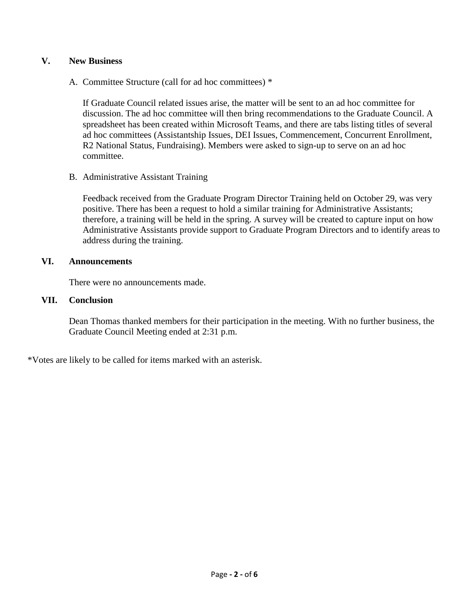#### **V. New Business**

A. Committee Structure (call for ad hoc committees) \*

If Graduate Council related issues arise, the matter will be sent to an ad hoc committee for discussion. The ad hoc committee will then bring recommendations to the Graduate Council. A spreadsheet has been created within Microsoft Teams, and there are tabs listing titles of several ad hoc committees (Assistantship Issues, DEI Issues, Commencement, Concurrent Enrollment, R2 National Status, Fundraising). Members were asked to sign-up to serve on an ad hoc committee.

B. Administrative Assistant Training

Feedback received from the Graduate Program Director Training held on October 29, was very positive. There has been a request to hold a similar training for Administrative Assistants; therefore, a training will be held in the spring. A survey will be created to capture input on how Administrative Assistants provide support to Graduate Program Directors and to identify areas to address during the training.

#### **VI. Announcements**

There were no announcements made.

#### **VII. Conclusion**

Dean Thomas thanked members for their participation in the meeting. With no further business, the Graduate Council Meeting ended at 2:31 p.m.

\*Votes are likely to be called for items marked with an asterisk.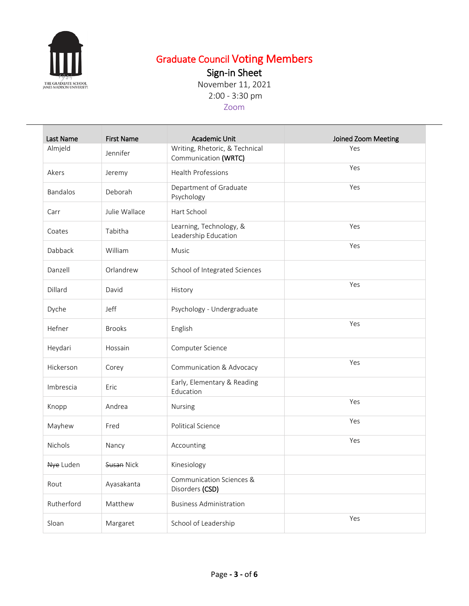

### Graduate Council Voting Members

Sign-in Sheet

November 11, 2021 2:00 - 3:30 pm

### Zoom

| Last Name  | <b>First Name</b> | Academic Unit                                          | Joined Zoom Meeting |
|------------|-------------------|--------------------------------------------------------|---------------------|
| Almjeld    | Jennifer          | Writing, Rhetoric, & Technical<br>Communication (WRTC) | Yes                 |
| Akers      | Jeremy            | Health Professions                                     | Yes                 |
| Bandalos   | Deborah           | Department of Graduate<br>Psychology                   | Yes                 |
| Carr       | Julie Wallace     | Hart School                                            |                     |
| Coates     | Tabitha           | Learning, Technology, &<br>Leadership Education        | Yes                 |
| Dabback    | William           | Music                                                  | Yes                 |
| Danzell    | Orlandrew         | School of Integrated Sciences                          |                     |
| Dillard    | David             | History                                                | Yes                 |
| Dyche      | Jeff              | Psychology - Undergraduate                             |                     |
| Hefner     | <b>Brooks</b>     | English                                                | Yes                 |
| Heydari    | Hossain           | Computer Science                                       |                     |
| Hickerson  | Corey             | Communication & Advocacy                               | Yes                 |
| Imbrescia  | Eric              | Early, Elementary & Reading<br>Education               |                     |
| Knopp      | Andrea            | Nursing                                                | Yes                 |
| Mayhew     | Fred              | Political Science                                      | Yes                 |
| Nichols    | Nancy             | Accounting                                             | Yes                 |
| Nye Luden  | Susan Nick        | Kinesiology                                            |                     |
| Rout       | Ayasakanta        | Communication Sciences &<br>Disorders (CSD)            |                     |
| Rutherford | Matthew           | <b>Business Administration</b>                         |                     |
| Sloan      | Margaret          | School of Leadership                                   | Yes                 |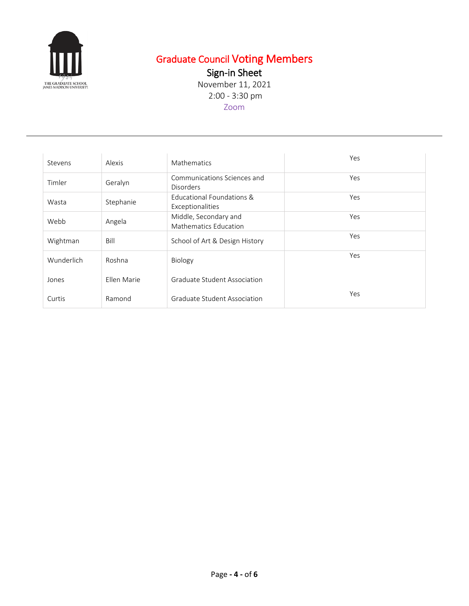

# Graduate Council Voting Members

Sign-in Sheet

November 11, 2021 2:00 - 3:30 pm Zoom

| Stevens    | Alexis      | Mathematics                                     | Yes |
|------------|-------------|-------------------------------------------------|-----|
| Timler     | Geralyn     | Communications Sciences and<br><b>Disorders</b> | Yes |
| Wasta      | Stephanie   | Educational Foundations &<br>Exceptionalities   | Yes |
| Webb       | Angela      | Middle, Secondary and<br>Mathematics Education  | Yes |
| Wightman   | Bill        | School of Art & Design History                  | Yes |
| Wunderlich | Roshna      | Biology                                         | Yes |
| Jones      | Ellen Marie | Graduate Student Association                    |     |
| Curtis     | Ramond      | Graduate Student Association                    | Yes |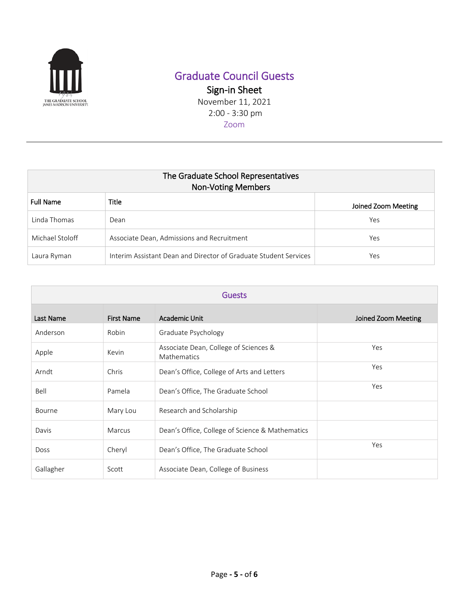

## Graduate Council Guests

Sign-in Sheet November 11, 2021

2:00 - 3:30 pm

Zoom

| The Graduate School Representatives<br><b>Non-Voting Members</b> |                                                                  |                     |  |
|------------------------------------------------------------------|------------------------------------------------------------------|---------------------|--|
| <b>Full Name</b>                                                 | Title                                                            | Joined Zoom Meeting |  |
| Linda Thomas                                                     | Dean                                                             | Yes                 |  |
| Michael Stoloff                                                  | Associate Dean, Admissions and Recruitment                       | Yes                 |  |
| Laura Ryman                                                      | Interim Assistant Dean and Director of Graduate Student Services | Yes                 |  |

| <b>Guests</b> |                   |                                                      |                     |
|---------------|-------------------|------------------------------------------------------|---------------------|
| Last Name     | <b>First Name</b> | Academic Unit                                        | Joined Zoom Meeting |
| Anderson      | Robin             | Graduate Psychology                                  |                     |
| Apple         | Kevin             | Associate Dean, College of Sciences &<br>Mathematics | Yes                 |
| Arndt         | Chris             | Dean's Office, College of Arts and Letters           | Yes                 |
| Bell          | Pamela            | Dean's Office, The Graduate School                   | Yes                 |
| Bourne        | Mary Lou          | Research and Scholarship                             |                     |
| Davis         | Marcus            | Dean's Office, College of Science & Mathematics      |                     |
| <b>Doss</b>   | Cheryl            | Dean's Office, The Graduate School                   | Yes                 |
| Gallagher     | Scott             | Associate Dean, College of Business                  |                     |